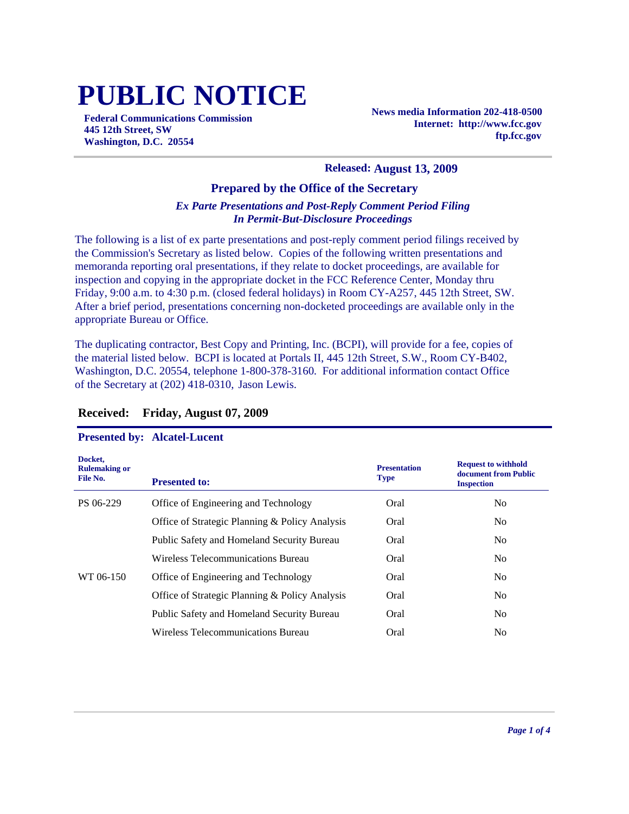# **PUBLIC NOTICE**

**Federal Communications Commission 445 12th Street, SW Washington, D.C. 20554**

**News media Information 202-418-0500 Internet: http://www.fcc.gov ftp.fcc.gov**

#### **Released: August 13, 2009**

#### **Prepared by the Office of the Secretary**

## *Ex Parte Presentations and Post-Reply Comment Period Filing In Permit-But-Disclosure Proceedings*

The following is a list of ex parte presentations and post-reply comment period filings received by the Commission's Secretary as listed below. Copies of the following written presentations and memoranda reporting oral presentations, if they relate to docket proceedings, are available for inspection and copying in the appropriate docket in the FCC Reference Center, Monday thru Friday, 9:00 a.m. to 4:30 p.m. (closed federal holidays) in Room CY-A257, 445 12th Street, SW. After a brief period, presentations concerning non-docketed proceedings are available only in the appropriate Bureau or Office.

The duplicating contractor, Best Copy and Printing, Inc. (BCPI), will provide for a fee, copies of the material listed below. BCPI is located at Portals II, 445 12th Street, S.W., Room CY-B402, Washington, D.C. 20554, telephone 1-800-378-3160. For additional information contact Office of the Secretary at (202) 418-0310, Jason Lewis.

| Docket,<br><b>Rulemaking or</b><br>File No. | <b>Presented to:</b>                              | <b>Presentation</b><br><b>Type</b> | <b>Request to withhold</b><br>document from Public<br><b>Inspection</b> |
|---------------------------------------------|---------------------------------------------------|------------------------------------|-------------------------------------------------------------------------|
| PS 06-229                                   | Office of Engineering and Technology              | Oral                               | N <sub>0</sub>                                                          |
|                                             | Office of Strategic Planning & Policy Analysis    | Oral                               | N <sub>0</sub>                                                          |
|                                             | <b>Public Safety and Homeland Security Bureau</b> | Oral                               | N <sub>0</sub>                                                          |
|                                             | Wireless Telecommunications Bureau                | Oral                               | N <sub>0</sub>                                                          |
| WT 06-150                                   | Office of Engineering and Technology              | Oral                               | N <sub>0</sub>                                                          |
|                                             | Office of Strategic Planning & Policy Analysis    | Oral                               | N <sub>0</sub>                                                          |
|                                             | <b>Public Safety and Homeland Security Bureau</b> | Oral                               | N <sub>o</sub>                                                          |
|                                             | Wireless Telecommunications Bureau                | Oral                               | N <sub>0</sub>                                                          |

## **Received: Friday, August 07, 2009**

### **Presented by: Alcatel-Lucent**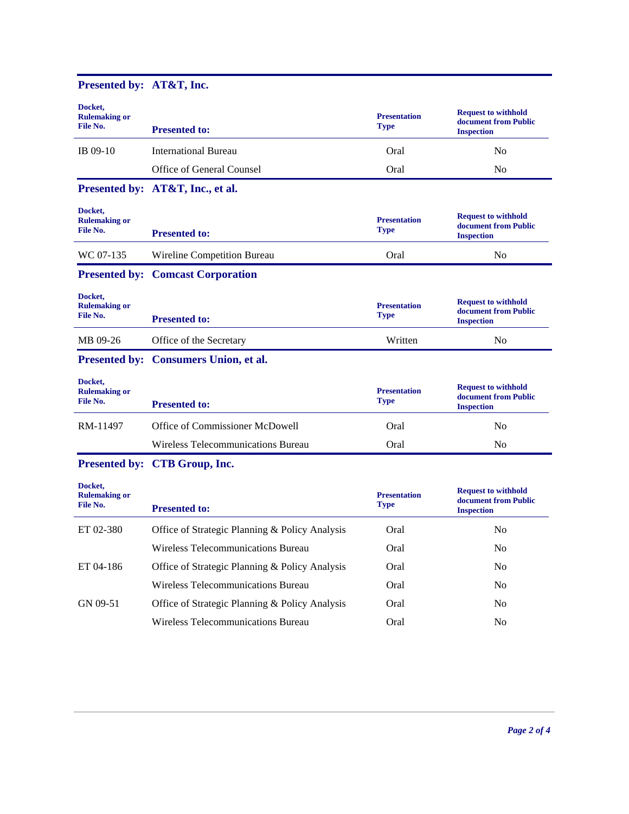| Presented by: AT&T, Inc.                    |                                                |                                    |                                                                         |
|---------------------------------------------|------------------------------------------------|------------------------------------|-------------------------------------------------------------------------|
| Docket,<br><b>Rulemaking or</b><br>File No. | <b>Presented to:</b>                           | <b>Presentation</b><br><b>Type</b> | <b>Request to withhold</b><br>document from Public<br><b>Inspection</b> |
| IB 09-10                                    | <b>International Bureau</b>                    | Oral                               | N <sub>0</sub>                                                          |
|                                             | Office of General Counsel                      | Oral                               | No                                                                      |
|                                             | Presented by: AT&T, Inc., et al.               |                                    |                                                                         |
| Docket,<br><b>Rulemaking or</b><br>File No. | <b>Presented to:</b>                           | <b>Presentation</b><br><b>Type</b> | <b>Request to withhold</b><br>document from Public<br><b>Inspection</b> |
| WC 07-135                                   | Wireline Competition Bureau                    | Oral                               | No                                                                      |
|                                             | <b>Presented by: Comcast Corporation</b>       |                                    |                                                                         |
| Docket,<br><b>Rulemaking or</b><br>File No. | <b>Presented to:</b>                           | <b>Presentation</b><br><b>Type</b> | <b>Request to withhold</b><br>document from Public<br><b>Inspection</b> |
| MB 09-26                                    | Office of the Secretary                        | Written                            | No                                                                      |
|                                             | Presented by: Consumers Union, et al.          |                                    |                                                                         |
| Docket,<br><b>Rulemaking or</b><br>File No. | <b>Presented to:</b>                           | <b>Presentation</b><br><b>Type</b> | <b>Request to withhold</b><br>document from Public<br><b>Inspection</b> |
| RM-11497                                    | Office of Commissioner McDowell                | Oral                               | No                                                                      |
|                                             | Wireless Telecommunications Bureau             | Oral                               | N <sub>0</sub>                                                          |
|                                             | Presented by: CTB Group, Inc.                  |                                    |                                                                         |
| Docket,<br><b>Rulemaking or</b><br>File No. | <b>Presented to:</b>                           | <b>Presentation</b><br><b>Type</b> | <b>Request to withhold</b><br>document from Public<br><b>Inspection</b> |
| ET 02-380                                   | Office of Strategic Planning & Policy Analysis | Oral                               | N <sub>o</sub>                                                          |
|                                             | Wireless Telecommunications Bureau             | Oral                               | No                                                                      |
| ET 04-186                                   | Office of Strategic Planning & Policy Analysis | Oral                               | No                                                                      |
|                                             | Wireless Telecommunications Bureau             | Oral                               | No                                                                      |
| GN 09-51                                    | Office of Strategic Planning & Policy Analysis | Oral                               | No                                                                      |
|                                             | Wireless Telecommunications Bureau             | Oral                               | $\rm No$                                                                |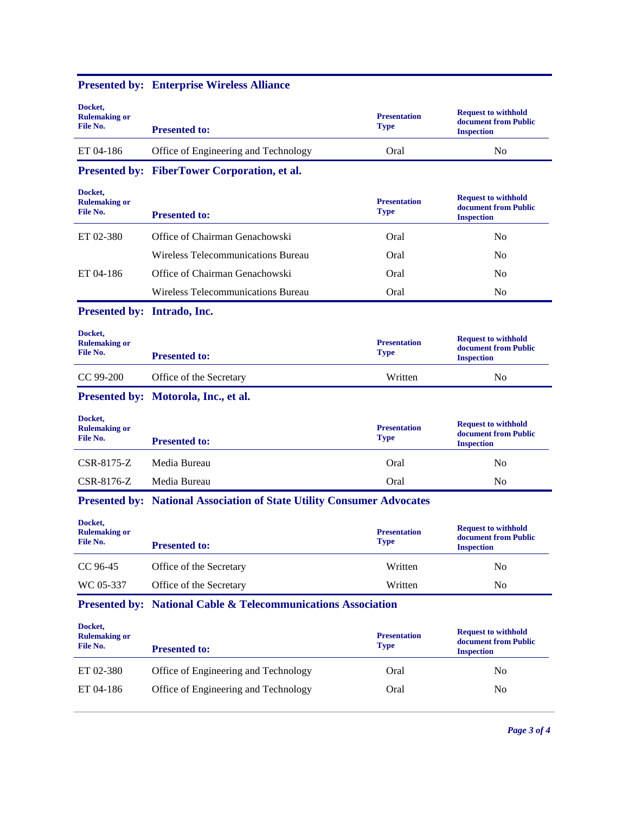| Docket,                                     |                                                                               |                                    |                                                                         |  |
|---------------------------------------------|-------------------------------------------------------------------------------|------------------------------------|-------------------------------------------------------------------------|--|
| <b>Rulemaking or</b><br>File No.            | <b>Presented to:</b>                                                          | <b>Presentation</b><br><b>Type</b> | <b>Request to withhold</b><br>document from Public<br><b>Inspection</b> |  |
| ET 04-186                                   | Office of Engineering and Technology                                          | Oral                               | N <sub>0</sub>                                                          |  |
|                                             | Presented by: FiberTower Corporation, et al.                                  |                                    |                                                                         |  |
| Docket,<br><b>Rulemaking or</b><br>File No. | <b>Presented to:</b>                                                          | <b>Presentation</b><br><b>Type</b> | <b>Request to withhold</b><br>document from Public<br><b>Inspection</b> |  |
| ET 02-380                                   | Office of Chairman Genachowski                                                | Oral                               | N <sub>o</sub>                                                          |  |
|                                             | Wireless Telecommunications Bureau                                            | Oral                               | N <sub>o</sub>                                                          |  |
| ET 04-186                                   | Office of Chairman Genachowski                                                | Oral                               | N <sub>o</sub>                                                          |  |
|                                             | Wireless Telecommunications Bureau                                            | Oral                               | N <sub>0</sub>                                                          |  |
| Presented by: Intrado, Inc.                 |                                                                               |                                    |                                                                         |  |
| Docket,<br><b>Rulemaking or</b><br>File No. | <b>Presented to:</b>                                                          | <b>Presentation</b><br><b>Type</b> | <b>Request to withhold</b><br>document from Public<br><b>Inspection</b> |  |
| CC 99-200                                   | Office of the Secretary                                                       | Written                            | N <sub>0</sub>                                                          |  |
|                                             | Presented by: Motorola, Inc., et al.                                          |                                    |                                                                         |  |
| Docket,<br><b>Rulemaking or</b><br>File No. | <b>Presented to:</b>                                                          | <b>Presentation</b><br><b>Type</b> | <b>Request to withhold</b><br>document from Public<br><b>Inspection</b> |  |
| CSR-8175-Z                                  | Media Bureau                                                                  | Oral                               | N <sub>o</sub>                                                          |  |
| CSR-8176-Z                                  | Media Bureau                                                                  | Oral                               | No                                                                      |  |
|                                             | <b>Presented by: National Association of State Utility Consumer Advocates</b> |                                    |                                                                         |  |
| Docket,<br><b>Rulemaking or</b><br>File No. | <b>Presented to:</b>                                                          | <b>Presentation</b><br><b>Type</b> | <b>Request to withhold</b><br>document from Public<br><b>Inspection</b> |  |
| CC 96-45                                    | Office of the Secretary                                                       | Written                            | N <sub>0</sub>                                                          |  |
| WC 05-337                                   | Office of the Secretary                                                       | Written                            | No                                                                      |  |
|                                             | <b>Presented by: National Cable &amp; Telecommunications Association</b>      |                                    |                                                                         |  |
| Docket,<br><b>Rulemaking or</b><br>File No. | <b>Presented to:</b>                                                          | <b>Presentation</b><br><b>Type</b> | <b>Request to withhold</b><br>document from Public<br><b>Inspection</b> |  |
| ET 02-380                                   | Office of Engineering and Technology                                          | Oral                               | N <sub>0</sub>                                                          |  |
| ET 04-186                                   | Office of Engineering and Technology                                          | Oral                               | No                                                                      |  |
|                                             |                                                                               |                                    |                                                                         |  |

### **Presented by: Enterprise Wireless Alliance**